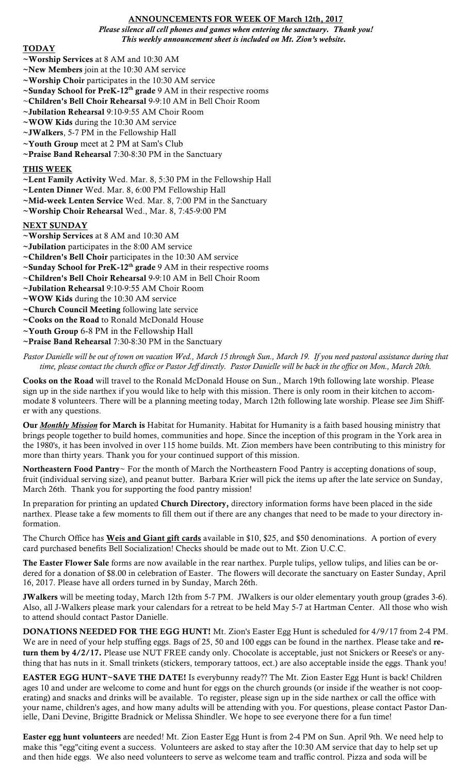## ANNOUNCEMENTS FOR WEEK OF March 12th, 2017

*Please silence all cell phones and games when entering the sanctuary. Thank you! This weekly announcement sheet is included on Mt. Zion's website.*

### TODAY

- ~Worship Services at 8 AM and 10:30 AM
- ~New Members join at the 10:30 AM service
- ~Worship Choir participates in the 10:30 AM service
- $\sim$ Sunday School for PreK-12<sup>th</sup> grade 9 AM in their respective rooms
- ~Children's Bell Choir Rehearsal 9-9:10 AM in Bell Choir Room
- ~Jubilation Rehearsal 9:10-9:55 AM Choir Room
- ~WOW Kids during the 10:30 AM service
- ~JWalkers, 5-7 PM in the Fellowship Hall
- ~Youth Group meet at 2 PM at Sam's Club
- ~Praise Band Rehearsal 7:30-8:30 PM in the Sanctuary

## THIS WEEK

- ~Lent Family Activity Wed. Mar. 8, 5:30 PM in the Fellowship Hall
- ~Lenten Dinner Wed. Mar. 8, 6:00 PM Fellowship Hall
- ~Mid-week Lenten Service Wed. Mar. 8, 7:00 PM in the Sanctuary
- ~Worship Choir Rehearsal Wed., Mar. 8, 7:45-9:00 PM

# NEXT SUNDAY

- ~Worship Services at 8 AM and 10:30 AM
- ~Jubilation participates in the 8:00 AM service
- ~Children's Bell Choir participates in the 10:30 AM service
- ~Sunday School for PreK-12<sup>th</sup> grade 9 AM in their respective rooms
- ~Children's Bell Choir Rehearsal 9-9:10 AM in Bell Choir Room
- ~Jubilation Rehearsal 9:10-9:55 AM Choir Room
- ~WOW Kids during the 10:30 AM service
- ~Church Council Meeting following late service
- ~Cooks on the Road to Ronald McDonald House
- ~Youth Group 6-8 PM in the Fellowship Hall
- ~Praise Band Rehearsal 7:30-8:30 PM in the Sanctuary

*Pastor Danielle will be out of town on vacation Wed., March 15 through Sun., March 19. If you need pastoral assistance during that time, please contact the church office or Pastor Jeff directly. Pastor Danielle will be back in the office on Mon., March 20th.*

Cooks on the Road will travel to the Ronald McDonald House on Sun., March 19th following late worship. Please sign up in the side narthex if you would like to help with this mission. There is only room in their kitchen to accommodate 8 volunteers. There will be a planning meeting today, March 12th following late worship. Please see Jim Shiffer with any questions.

Our *Monthly Mission* for March is Habitat for Humanity. Habitat for Humanity is a faith based housing ministry that brings people together to build homes, communities and hope. Since the inception of this program in the York area in the 1980's, it has been involved in over 115 home builds. Mt. Zion members have been contributing to this ministry for more than thirty years. Thank you for your continued support of this mission.

Northeastern Food Pantry~ For the month of March the Northeastern Food Pantry is accepting donations of soup, fruit (individual serving size), and peanut butter. Barbara Krier will pick the items up after the late service on Sunday, March 26th. Thank you for supporting the food pantry mission!

In preparation for printing an updated Church Directory, directory information forms have been placed in the side narthex. Please take a few moments to fill them out if there are any changes that need to be made to your directory information.

The Church Office has **Weis and Giant gift cards** available in \$10, \$25, and \$50 denominations. A portion of every card purchased benefits Bell Socialization! Checks should be made out to Mt. Zion U.C.C.

The Easter Flower Sale forms are now available in the rear narthex. Purple tulips, yellow tulips, and lilies can be ordered for a donation of \$8.00 in celebration of Easter. The flowers will decorate the sanctuary on Easter Sunday, April 16, 2017. Please have all orders turned in by Sunday, March 26th.

JWalkers will be meeting today, March 12th from 5-7 PM. JWalkers is our older elementary youth group (grades 3-6). Also, all J-Walkers please mark your calendars for a retreat to be held May 5-7 at Hartman Center. All those who wish to attend should contact Pastor Danielle.

DONATIONS NEEDED FOR THE EGG HUNT! Mt. Zion's Easter Egg Hunt is scheduled for 4/9/17 from 2-4 PM. We are in need of your help stuffing eggs. Bags of 25, 50 and 100 eggs can be found in the narthex. Please take and return them by  $4/2/17$ . Please use NUT FREE candy only. Chocolate is acceptable, just not Snickers or Reese's or anything that has nuts in it. Small trinkets (stickers, temporary tattoos, ect.) are also acceptable inside the eggs. Thank you!

EASTER EGG HUNT~SAVE THE DATE! Is everybunny ready?? The Mt. Zion Easter Egg Hunt is back! Children ages 10 and under are welcome to come and hunt for eggs on the church grounds (or inside if the weather is not cooperating) and snacks and drinks will be available. To register, please sign up in the side narthex or call the office with your name, children's ages, and how many adults will be attending with you. For questions, please contact Pastor Danielle, Dani Devine, Brigitte Bradnick or Melissa Shindler. We hope to see everyone there for a fun time!

Easter egg hunt volunteers are needed! Mt. Zion Easter Egg Hunt is from 2-4 PM on Sun. April 9th. We need help to make this "egg"citing event a success. Volunteers are asked to stay after the 10:30 AM service that day to help set up and then hide eggs. We also need volunteers to serve as welcome team and traffic control. Pizza and soda will be